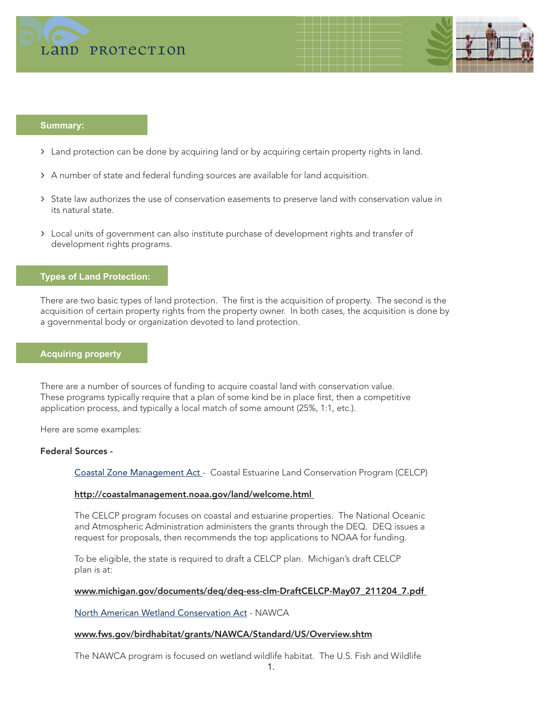



#### **Summary:**

- > Land protection can be done by acquiring land or by acquiring certain property rights in land.
- > A number of state and federal funding sources are available for land acquisition.
- > State law authorizes the use of conservation easements to preserve land with conservation value in its natural state.
- > Local units of government can also institute purchase of development rights and transfer of development rights programs.

## **Types of Land Protection:**

There are two basic types of land protection. The first is the acquisition of property. The second is the acquisition of certain property rights from the property owner. In both cases, the acquisition is done by a governmental body or organization devoted to land protection.

# **Acquiring property**

ī

Ĩ

There are a number of sources of funding to acquire coastal land with conservation value. These programs typically require that a plan of some kind be in place first, then a competitive application process, and typically a local match of some amount (25%, 1:1, etc.).

Here are some examples:

#### Federal Sources -

Coastal Zone Management Act - Coastal Estuarine Land Conservation Program (CELCP)

#### http://coastalmanagement.noaa.gov/land/welcome.html

 The CELCP program focuses on coastal and estuarine properties. The National Oceanic and Atmospheric Administration administers the grants through the DEQ. DEQ issues a request for proposals, then recommends the top applications to NOAA for funding.

 To be eligible, the state is required to draft a CELCP plan. Michigan's draft CELCP plan is at:

#### www.michigan.gov/documents/deq/deq-ess-clm-DraftCELCP-May07\_211204\_7.pdf

North American Wetland Conservation Act - NAWCA

#### www.fws.gov/birdhabitat/grants/NAWCA/Standard/US/Overview.shtm

The NAWCA program is focused on wetland wildlife habitat. The U.S. Fish and Wildlife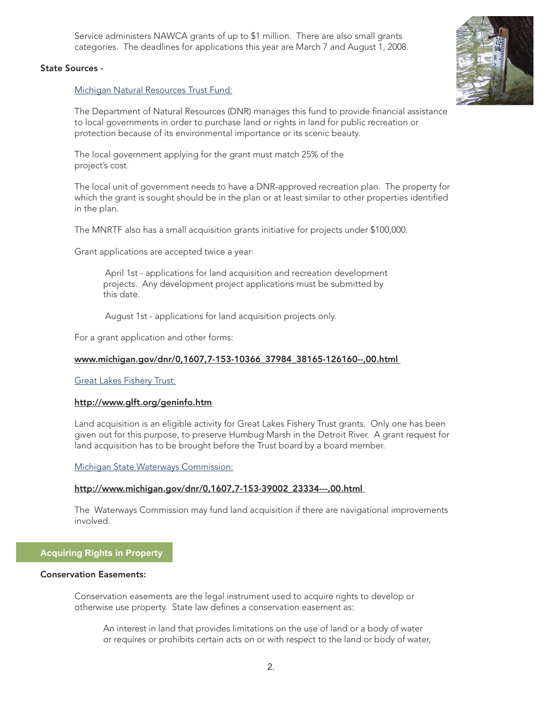Service administers NAWCA grants of up to \$1 million. There are also small grants categories. The deadlines for applications this year are March 7 and August 1, 2008.



## State Sources -

Michigan Natural Resources Trust Fund:

 The Department of Natural Resources (DNR) manages this fund to provide financial assistance to local governments in order to purchase land or rights in land for public recreation or protection because of its environmental importance or its scenic beauty.

 The local government applying for the grant must match 25% of the project's cost.

 The local unit of government needs to have a DNR-approved recreation plan. The property for which the grant is sought should be in the plan or at least similar to other properties identified in the plan.

The MNRTF also has a small acquisition grants initiative for projects under \$100,000.

Grant applications are accepted twice a year:

 April 1st - applications for land acquisition and recreation development projects. Any development project applications must be submitted by this date.

August 1st - applications for land acquisition projects only.

For a grant application and other forms:

#### www.michigan.gov/dnr/0,1607,7-153-10366\_37984\_38165-126160--,00.html

Great Lakes Fishery Trust:

## http://www.glft.org/geninfo.htm

 Land acquisition is an eligible activity for Great Lakes Fishery Trust grants. Only one has been given out for this purpose, to preserve Humbug Marsh in the Detroit River. A grant request for land acquisition has to be brought before the Trust board by a board member.

Michigan State Waterways Commission:

#### http://www.michigan.gov/dnr/0,1607,7-153-39002\_23334---,00.html

 The Waterways Commission may fund land acquisition if there are navigational improvements involved.

# **Acquiring Rights in Property**

## Conservation Easements:

ł

 Conservation easements are the legal instrument used to acquire rights to develop or otherwise use property. State law defines a conservation easement as:

 An interest in land that provides limitations on the use of land or a body of water or requires or prohibits certain acts on or with respect to the land or body of water,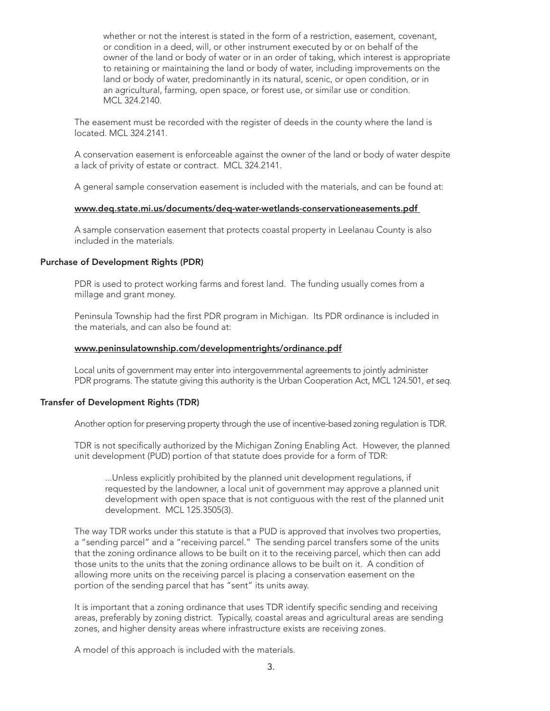whether or not the interest is stated in the form of a restriction, easement, covenant, or condition in a deed, will, or other instrument executed by or on behalf of the owner of the land or body of water or in an order of taking, which interest is appropriate to retaining or maintaining the land or body of water, including improvements on the land or body of water, predominantly in its natural, scenic, or open condition, or in an agricultural, farming, open space, or forest use, or similar use or condition. MCL 324.2140.

 The easement must be recorded with the register of deeds in the county where the land is located. MCL 324.2141.

 A conservation easement is enforceable against the owner of the land or body of water despite a lack of privity of estate or contract. MCL 324.2141.

A general sample conservation easement is included with the materials, and can be found at:

## www.deq.state.mi.us/documents/deq-water-wetlands-conservationeasements.pdf

 A sample conservation easement that protects coastal property in Leelanau County is also included in the materials.

# Purchase of Development Rights (PDR)

 PDR is used to protect working farms and forest land. The funding usually comes from a millage and grant money.

 Peninsula Township had the first PDR program in Michigan. Its PDR ordinance is included in the materials, and can also be found at:

## www.peninsulatownship.com/developmentrights/ordinance.pdf

 Local units of government may enter into intergovernmental agreements to jointly administer PDR programs. The statute giving this authority is the Urban Cooperation Act, MCL 124.501, *et seq.*

# Transfer of Development Rights (TDR)

Another option for preserving property through the use of incentive-based zoning regulation is TDR.

 TDR is not specifically authorized by the Michigan Zoning Enabling Act. However, the planned unit development (PUD) portion of that statute does provide for a form of TDR:

 ...Unless explicitly prohibited by the planned unit development regulations, if requested by the landowner, a local unit of government may approve a planned unit development with open space that is not contiguous with the rest of the planned unit development. MCL 125.3505(3).

 The way TDR works under this statute is that a PUD is approved that involves two properties, a "sending parcel" and a "receiving parcel." The sending parcel transfers some of the units that the zoning ordinance allows to be built on it to the receiving parcel, which then can add those units to the units that the zoning ordinance allows to be built on it. A condition of allowing more units on the receiving parcel is placing a conservation easement on the portion of the sending parcel that has "sent" its units away.

 It is important that a zoning ordinance that uses TDR identify specific sending and receiving areas, preferably by zoning district. Typically, coastal areas and agricultural areas are sending zones, and higher density areas where infrastructure exists are receiving zones.

A model of this approach is included with the materials.